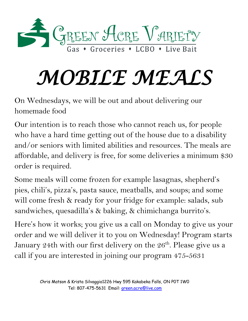

# *MOBILE MEALS*

On Wednesdays, we will be out and about delivering our homemade food

Our intention is to reach those who cannot reach us, for people who have a hard time getting out of the house due to a disability and/or seniors with limited abilities and resources. The meals are affordable, and delivery is free, for some deliveries a minimum \$30 order is required.

Some meals will come frozen for example lasagnas, shepherd's pies, chili's, pizza's, pasta sauce, meatballs, and soups; and some will come fresh & ready for your fridge for example: salads, sub sandwiches, quesadilla's & baking, & chimichanga burrito's.

Here's how it works; you give us a call on Monday to give us your order and we will deliver it to you on Wednesday! Program starts January 24th with our first delivery on the  $26<sup>th</sup>$ . Please give us a call if you are interested in joining our program 475-5631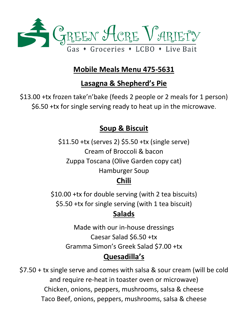

# **Mobile Meals Menu 475-5631**

# **Lasagna & Shepherd's Pie**

\$13.00 +tx frozen take'n'bake (feeds 2 people or 2 meals for 1 person) \$6.50 +tx for single serving ready to heat up in the microwave.

#### **Soup & Biscuit**

\$11.50 +tx (serves 2) \$5.50 +tx (single serve) Cream of Broccoli & bacon Zuppa Toscana (Olive Garden copy cat) Hamburger Soup

# **Chili**

\$10.00 +tx for double serving (with 2 tea biscuits) \$5.50 +tx for single serving (with 1 tea biscuit)

## **Salads**

Made with our in-house dressings Caesar Salad \$6.50 +tx Gramma Simon's Greek Salad \$7.00 +tx

## **Quesadilla's**

\$7.50 + tx single serve and comes with salsa & sour cream (will be cold and require re-heat in toaster oven or microwave) Chicken, onions, peppers, mushrooms, salsa & cheese Taco Beef, onions, peppers, mushrooms, salsa & cheese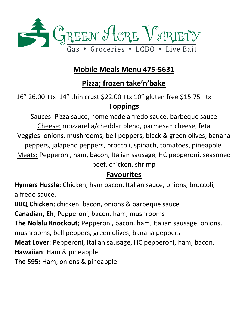

## **Mobile Meals Menu 475-5631**

# **Pizza; frozen take'n'bake**

16" 26.00 +tx 14" thin crust \$22.00 +tx 10" gluten free \$15.75 +tx **Toppings**

Sauces: Pizza sauce, homemade alfredo sauce, barbeque sauce Cheese: mozzarella/cheddar blend, parmesan cheese, feta Veggies: onions, mushrooms, bell peppers, black & green olives, banana peppers, jalapeno peppers, broccoli, spinach, tomatoes, pineapple. Meats: Pepperoni, ham, bacon, Italian sausage, HC pepperoni, seasoned beef, chicken, shrimp

#### **Favourites**

**Hymers Hussle**: Chicken, ham bacon, Italian sauce, onions, broccoli, alfredo sauce.

**BBQ Chicken**; chicken, bacon, onions & barbeque sauce

**Canadian, Eh**; Pepperoni, bacon, ham, mushrooms

**The Nolalu Knockout**; Pepperoni, bacon, ham, Italian sausage, onions,

mushrooms, bell peppers, green olives, banana peppers

**Meat Lover**: Pepperoni, Italian sausage, HC pepperoni, ham, bacon.

**Hawaiian**: Ham & pineapple

**The 595:** Ham, onions & pineapple